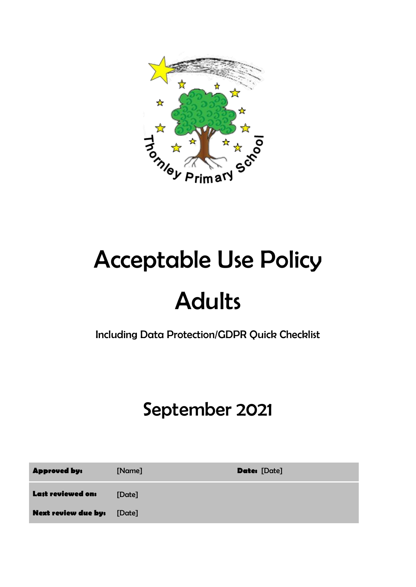

# Acceptable Use Policy Adults

Including Data Protection/GDPR Quick Checklist

# September 2021

| <b>Approved by:</b>               | [Name] | <b>Date:</b> [Date] |
|-----------------------------------|--------|---------------------|
| Last reviewed on:                 | [Date] |                     |
| <b>Next review due by:</b> [Date] |        |                     |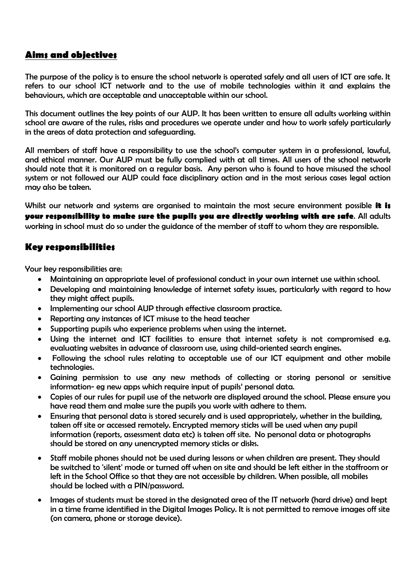## **Aims and objectives**

The purpose of the policy is to ensure the school network is operated safely and all users of ICT are safe. It refers to our school ICT network and to the use of mobile technologies within it and explains the behaviours, which are acceptable and unacceptable within our school.

This document outlines the key points of our AUP. It has been written to ensure all adults working within school are aware of the rules, risks and procedures we operate under and how to work safely particularly in the areas of data protection and safeguarding.

All members of staff have a responsibility to use the school's computer system in a professional, lawful, and ethical manner. Our AUP must be fully complied with at all times. All users of the school network should note that it is monitored on a regular basis. Any person who is found to have misused the school system or not followed our AUP could face disciplinary action and in the most serious cases legal action may also be taken.

Whilst our network and systems are organised to maintain the most secure environment possible **it is your responsibility to make sure the pupils you are directly working with are safe**. All adults working in school must do so under the guidance of the member of staff to whom they are responsible.

#### **Key responsibilities**

Your key responsibilities are:

- Maintaining an appropriate level of professional conduct in your own internet use within school.
- Developing and maintaining knowledge of internet safety issues, particularly with regard to how they might affect pupils.
- Implementing our school AUP through effective classroom practice.
- Reporting any instances of ICT misuse to the head teacher
- Supporting pupils who experience problems when using the internet.
- Using the internet and ICT facilities to ensure that internet safety is not compromised e.g. evaluating websites in advance of classroom use, using child-oriented search engines.
- Following the school rules relating to acceptable use of our ICT equipment and other mobile technologies.
- Gaining permission to use any new methods of collecting or storing personal or sensitive information- eg new apps which require input of pupils' personal data.
- Copies of our rules for pupil use of the network are displayed around the school. Please ensure you have read them and make sure the pupils you work with adhere to them.
- Ensuring that personal data is stored securely and is used appropriately, whether in the building, taken off site or accessed remotely. Encrypted memory sticks will be used when any pupil information (reports, assessment data etc) is taken off site. No personal data or photographs should be stored on any unencrypted memory sticks or disks.
- Staff mobile phones should not be used during lessons or when children are present. They should be switched to 'silent' mode or turned off when on site and should be left either in the staffroom or left in the School Office so that they are not accessible by children. When possible, all mobiles should be locked with a PIN/password.
- Images of students must be stored in the designated area of the IT network (hard drive) and kept in a time frame identified in the Digital Images Policy. It is not permitted to remove images off site (on camera, phone or storage device).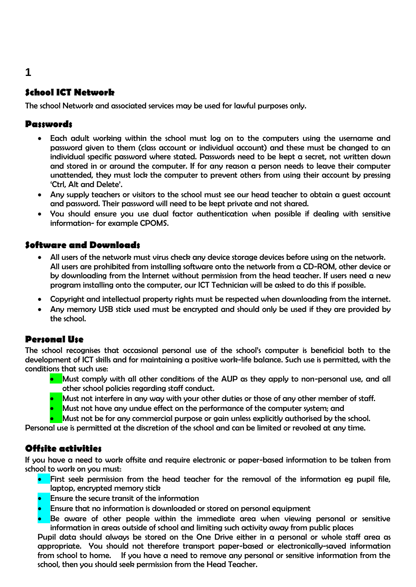## **School ICT Network**

The school Network and associated services may be used for lawful purposes only.

#### **Passwords**

- Each adult working within the school must log on to the computers using the username and password given to them (class account or individual account) and these must be changed to an individual specific password where stated. Passwords need to be kept a secret, not written down and stored in or around the computer. If for any reason a person needs to leave their computer unattended, they must lock the computer to prevent others from using their account by pressing 'Ctrl, Alt and Delete'.
- Any supply teachers or visitors to the school must see our head teacher to obtain a guest account and password. Their password will need to be kept private and not shared.
- You should ensure you use dual factor authentication when possible if dealing with sensitive information- for example CPOMS.

#### **Software and Downloads**

- All users of the network must virus check any device storage devices before using on the network. All users are prohibited from installing software onto the network from a CD-ROM, other device or by downloading from the Internet without permission from the head teacher. If users need a new program installing onto the computer, our ICT Technician will be asked to do this if possible.
- Copyright and intellectual property rights must be respected when downloading from the internet.
- Any memory USB stick used must be encrypted and should only be used if they are provided by the school.

#### **Personal Use**

The school recognises that occasional personal use of the school's computer is beneficial both to the development of ICT skills and for maintaining a positive work-life balance. Such use is permitted, with the conditions that such use:

- Must comply with all other conditions of the AUP as they apply to non-personal use, and all other school policies regarding staff conduct.
- Must not interfere in any way with your other duties or those of any other member of staff.
- Must not have any undue effect on the performance of the computer system; and
- Must not be for any commercial purpose or gain unless explicitly authorised by the school.

Personal use is permitted at the discretion of the school and can be limited or revoked at any time.

#### **Offsite activities**

If you have a need to work offsite and require electronic or paper-based information to be taken from school to work on you must:

- **•** First seek permission from the head teacher for the removal of the information eg pupil file, laptop, encrypted memory stick
- Ensure the secure transit of the information
- Ensure that no information is downloaded or stored on personal equipment
- Be aware of other people within the immediate area when viewing personal or sensitive information in areas outside of school and limiting such activity away from public places

Pupil data should always be stored on the One Drive either in a personal or whole staff area as appropriate. You should not therefore transport paper-based or electronically-saved information from school to home. If you have a need to remove any personal or sensitive information from the school, then you should seek permission from the Head Teacher.

#### **1**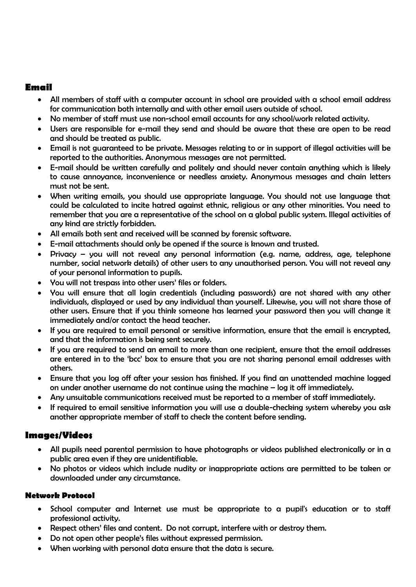#### **Email**

- All members of staff with a computer account in school are provided with a school email address for communication both internally and with other email users outside of school.
- No member of staff must use non-school email accounts for any school/work related activity.
- Users are responsible for e-mail they send and should be aware that these are open to be read and should be treated as public.
- Email is not guaranteed to be private. Messages relating to or in support of illegal activities will be reported to the authorities. Anonymous messages are not permitted.
- E-mail should be written carefully and politely and should never contain anything which is likely to cause annoyance, inconvenience or needless anxiety. Anonymous messages and chain letters must not be sent.
- When writing emails, you should use appropriate language. You should not use language that could be calculated to incite hatred against ethnic, religious or any other minorities. You need to remember that you are a representative of the school on a global public system. Illegal activities of any kind are strictly forbidden.
- All emails both sent and received will be scanned by forensic software.
- E-mail attachments should only be opened if the source is known and trusted.
- Privacy you will not reveal any personal information (e.g. name, address, age, telephone number, social network details) of other users to any unauthorised person. You will not reveal any of your personal information to pupils.
- You will not trespass into other users' files or folders.
- You will ensure that all login credentials (including passwords) are not shared with any other individuals, displayed or used by any individual than yourself. Likewise, you will not share those of other users. Ensure that if you think someone has learned your password then you will change it immediately and/or contact the head teacher.
- If you are required to email personal or sensitive information, ensure that the email is encrypted, and that the information is being sent securely.
- If you are required to send an email to more than one recipient, ensure that the email addresses are entered in to the 'bcc' box to ensure that you are not sharing personal email addresses with others.
- Ensure that you log off after your session has finished. If you find an unattended machine logged on under another username do not continue using the machine – log it off immediately.
- Any unsuitable communications received must be reported to a member of staff immediately.
- If required to email sensitive information you will use a double-checking system whereby you ask another appropriate member of staff to check the content before sending.

#### **Images/Videos**

- All pupils need parental permission to have photographs or videos published electronically or in a public area even if they are unidentifiable.
- No photos or videos which include nudity or inappropriate actions are permitted to be taken or downloaded under any circumstance.

#### **Network Protocol**

- School computer and Internet use must be appropriate to a pupil's education or to staff professional activity.
- Respect others' files and content. Do not corrupt, interfere with or destroy them.
- Do not open other people's files without expressed permission.
- When working with personal data ensure that the data is secure.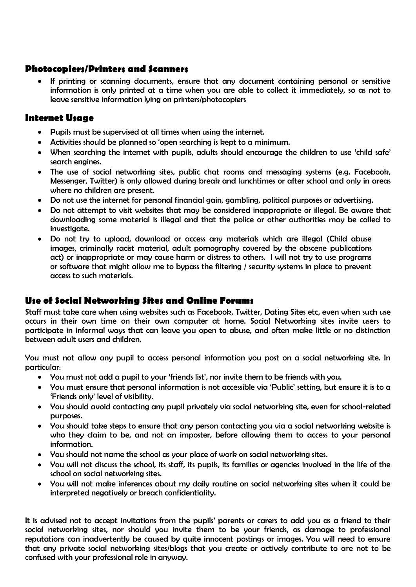#### **Photocopiers/Printers and Scanners**

 If printing or scanning documents, ensure that any document containing personal or sensitive information is only printed at a time when you are able to collect it immediately, so as not to leave sensitive information lying on printers/photocopiers

#### **Internet Usage**

- Pupils must be supervised at all times when using the internet.
- Activities should be planned so 'open searching is kept to a minimum.
- When searching the internet with pupils, adults should encourage the children to use 'child safe' search engines.
- The use of social networking sites, public chat rooms and messaging systems (e.g. Facebook, Messenger, Twitter) is only allowed during break and lunchtimes or after school and only in areas where no children are present.
- Do not use the internet for personal financial gain, gambling, political purposes or advertising.
- Do not attempt to visit websites that may be considered inappropriate or illegal. Be aware that downloading some material is illegal and that the police or other authorities may be called to investigate.
- Do not try to upload, download or access any materials which are illegal (Child abuse images, criminally racist material, adult pornography covered by the obscene publications act) or inappropriate or may cause harm or distress to others. I will not try to use programs or software that might allow me to bypass the filtering / security systems in place to prevent access to such materials.

#### **Use of Social Networking Sites and Online Forums**

Staff must take care when using websites such as Facebook, Twitter, Dating Sites etc, even when such use occurs in their own time on their own computer at home. Social Networking sites invite users to participate in informal ways that can leave you open to abuse, and often make little or no distinction between adult users and children.

You must not allow any pupil to access personal information you post on a social networking site. In particular:

- You must not add a pupil to your 'friends list', nor invite them to be friends with you.
- You must ensure that personal information is not accessible via 'Public' setting, but ensure it is to a 'Friends only' level of visibility.
- You should avoid contacting any pupil privately via social networking site, even for school-related purposes.
- You should take steps to ensure that any person contacting you via a social networking website is who they claim to be, and not an imposter, before allowing them to access to your personal information.
- You should not name the school as your place of work on social networking sites.
- You will not discuss the school, its staff, its pupils, its families or agencies involved in the life of the school on social networking sites.
- You will not make inferences about my daily routine on social networking sites when it could be interpreted negatively or breach confidentiality.

It is advised not to accept invitations from the pupils' parents or carers to add you as a friend to their social networking sites, nor should you invite them to be your friends, as damage to professional reputations can inadvertently be caused by quite innocent postings or images. You will need to ensure that any private social networking sites/blogs that you create or actively contribute to are not to be confused with your professional role in anyway.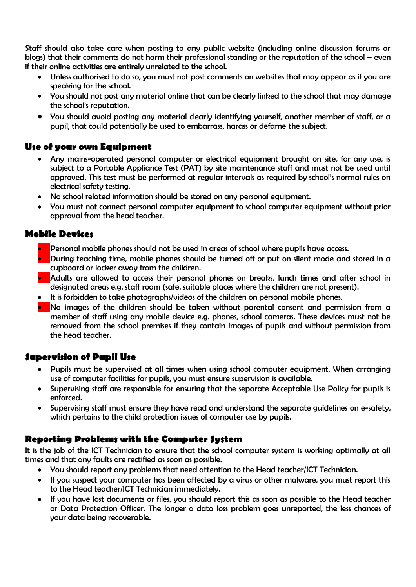Staff should also take care when posting to any public website (including online discussion forums or blogs) that their comments do not harm their professional standing or the reputation of the school – even if their online activities are entirely unrelated to the school.

- Unless authorised to do so, you must not post comments on websites that may appear as if you are speaking for the school.
- You should not post any material online that can be clearly linked to the school that may damage the school's reputation.
- You should avoid posting any material clearly identifying yourself, another member of staff, or a pupil, that could potentially be used to embarrass, harass or defame the subject.

#### **Use of your own Equipment**

- Any mains-operated personal computer or electrical equipment brought on site, for any use, is subject to a Portable Appliance Test (PAT) by site maintenance staff and must not be used until approved. This test must be performed at regular intervals as required by school's normal rules on electrical safety testing.
- No school related information should be stored on any personal equipment.
- You must not connect personal computer equipment to school computer equipment without prior approval from the head teacher.

#### **Mobile Devices**

- Personal mobile phones should not be used in areas of school where pupils have access.
- $\bullet$  During teaching time, mobile phones should be turned off or put on silent mode and stored in a cupboard or locker away from the children.
- **Adults are allowed to access their personal phones on breaks, lunch times and after school in** designated areas e.g. staff room (safe, suitable places where the children are not present).
- It is forbidden to take photographs/videos of the children on personal mobile phones.
- No images of the children should be taken without parental consent and permission from a member of staff using any mobile device e.g. phones, school cameras. These devices must not be removed from the school premises if they contain images of pupils and without permission from the head teacher.

#### **Supervision of Pupil Use**

- Pupils must be supervised at all times when using school computer equipment. When arranging use of computer facilities for pupils, you must ensure supervision is available.
- Supervising staff are responsible for ensuring that the separate Acceptable Use Policy for pupils is enforced.
- Supervising staff must ensure they have read and understand the separate guidelines on e-safety, which pertains to the child protection issues of computer use by pupils.

#### **Reporting Problems with the Computer System**

It is the job of the ICT Technician to ensure that the school computer system is working optimally at all times and that any faults are rectified as soon as possible.

- You should report any problems that need attention to the Head teacher/ICT Technician.
- If you suspect your computer has been affected by a virus or other malware, you must report this to the Head teacher/ICT Technician immediately.
- If you have lost documents or files, you should report this as soon as possible to the Head teacher or Data Protection Officer. The longer a data loss problem goes unreported, the less chances of your data being recoverable.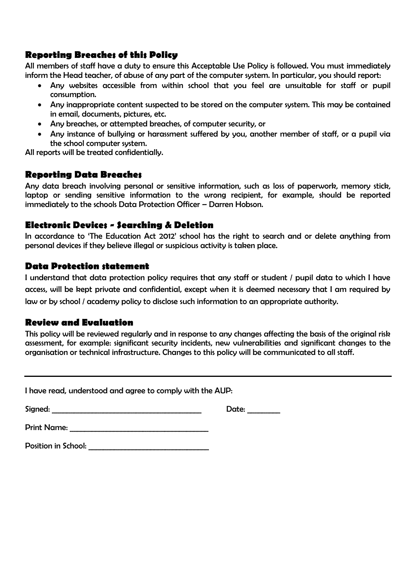#### **Reporting Breaches of this Policy**

All members of staff have a duty to ensure this Acceptable Use Policy is followed. You must immediately inform the Head teacher, of abuse of any part of the computer system. In particular, you should report:

- Any websites accessible from within school that you feel are unsuitable for staff or pupil consumption.
- Any inappropriate content suspected to be stored on the computer system. This may be contained in email, documents, pictures, etc.
- Any breaches, or attempted breaches, of computer security, or
- Any instance of bullying or harassment suffered by you, another member of staff, or a pupil via the school computer system.

All reports will be treated confidentially.

#### **Reporting Data Breaches**

Any data breach involving personal or sensitive information, such as loss of paperwork, memory stick, laptop or sending sensitive information to the wrong recipient, for example, should be reported immediately to the schools Data Protection Officer – Darren Hobson.

#### **Electronic Devices - Searching & Deletion**

In accordance to 'The Education Act 2012' school has the right to search and or delete anything from personal devices if they believe illegal or suspicious activity is taken place.

#### **Data Protection statement**

I understand that data protection policy requires that any staff or student / pupil data to which I have access, will be kept private and confidential, except when it is deemed necessary that I am required by law or by school / academy policy to disclose such information to an appropriate authority.

#### **Review and Evaluation**

This policy will be reviewed regularly and in response to any changes affecting the basis of the original risk assessment, for example: significant security incidents, new vulnerabilities and significant changes to the organisation or technical infrastructure. Changes to this policy will be communicated to all staff.

I have read, understood and agree to comply with the AUP:

Signed: \_\_\_\_\_\_\_\_\_\_\_\_\_\_\_\_\_\_\_\_\_\_\_\_\_\_\_\_\_\_\_\_\_\_\_\_\_\_\_\_\_ Date: \_\_\_\_\_\_\_\_\_

Print Name:  $\blacksquare$ 

Position in School: **With an allegen** and the set of the set of the set of the set of the set of the set of the set of the set of the set of the set of the set of the set of the set of the set of the set of the set of the